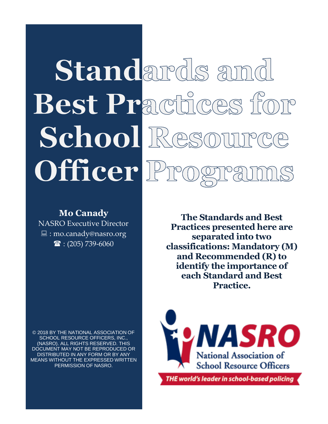# Standards amd Best Practices for School Res Officer<sup>D</sup>

### **Mo Canady**

NASRO Executive Director : mo.canady@nasro.org  $\mathbf{\hat{a}}$  : (205) 739-6060

**The Standards and Best Practices presented here are separated into two classifications: Mandatory (M) and Recommended (R) to identify the importance of each Standard and Best Practice.**

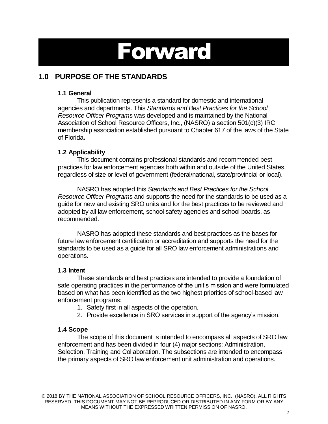## Forward

### **1.0 PURPOSE OF THE STANDARDS**

### **1.1 General**

This publication represents a standard for domestic and international agencies and departments. This *Standards and Best Practices for the School Resource Officer Program*s was developed and is maintained by the National Association of School Resource Officers, Inc., (NASRO) a section 501(c)(3) IRC membership association established pursuant to Chapter 617 of the laws of the State of Florida**.**

### **1.2 Applicability**

This document contains professional standards and recommended best practices for law enforcement agencies both within and outside of the United States, regardless of size or level of government (federal/national, state/provincial or local).

NASRO has adopted this *Standards and Best Practices for the School Resource Officer Program*s and supports the need for the standards to be used as a guide for new and existing SRO units and for the best practices to be reviewed and adopted by all law enforcement, school safety agencies and school boards, as recommended.

NASRO has adopted these standards and best practices as the bases for future law enforcement certification or accreditation and supports the need for the standards to be used as a guide for all SRO law enforcement administrations and operations.

### **1.3 Intent**

These standards and best practices are intended to provide a foundation of safe operating practices in the performance of the unit's mission and were formulated based on what has been identified as the two highest priorities of school-based law enforcement programs:

- 1. Safety first in all aspects of the operation.
- 2. Provide excellence in SRO services in support of the agency's mission.

### **1.4 Scope**

The scope of this document is intended to encompass all aspects of SRO law enforcement and has been divided in four (4) major sections: Administration, Selection, Training and Collaboration. The subsections are intended to encompass the primary aspects of SRO law enforcement unit administration and operations.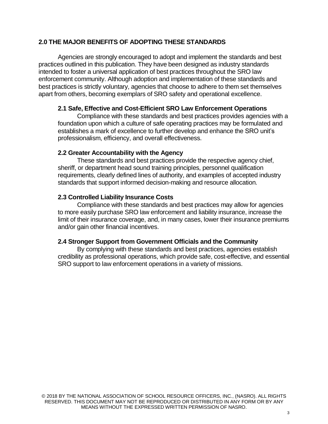### **2.0 THE MAJOR BENEFITS OF ADOPTING THESE STANDARDS**

Agencies are strongly encouraged to adopt and implement the standards and best practices outlined in this publication. They have been designed as industry standards intended to foster a universal application of best practices throughout the SRO law enforcement community. Although adoption and implementation of these standards and best practices is strictly voluntary, agencies that choose to adhere to them set themselves apart from others, becoming exemplars of SRO safety and operational excellence.

#### **2.1 Safe, Effective and Cost-Efficient SRO Law Enforcement Operations**

Compliance with these standards and best practices provides agencies with a foundation upon which a culture of safe operating practices may be formulated and establishes a mark of excellence to further develop and enhance the SRO unit's professionalism, efficiency, and overall effectiveness.

#### **2.2 Greater Accountability with the Agency**

These standards and best practices provide the respective agency chief, sheriff, or department head sound training principles, personnel qualification requirements, clearly defined lines of authority, and examples of accepted industry standards that support informed decision-making and resource allocation.

### **2.3 Controlled Liability Insurance Costs**

Compliance with these standards and best practices may allow for agencies to more easily purchase SRO law enforcement and liability insurance, increase the limit of their insurance coverage, and, in many cases, lower their insurance premiums and/or gain other financial incentives.

### **2.4 Stronger Support from Government Officials and the Community**

By complying with these standards and best practices, agencies establish credibility as professional operations, which provide safe, cost-effective, and essential SRO support to law enforcement operations in a variety of missions.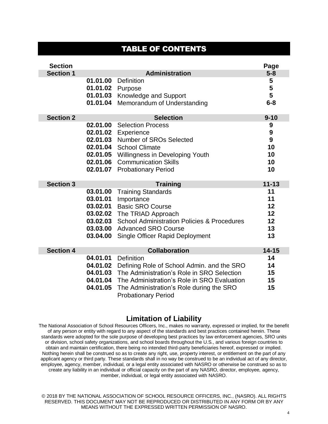### TABLE OF CONTENTS

| <b>Section</b>   |                                                                      |                                                                                                                                                                                                                                                 | Page                                               |
|------------------|----------------------------------------------------------------------|-------------------------------------------------------------------------------------------------------------------------------------------------------------------------------------------------------------------------------------------------|----------------------------------------------------|
| <b>Section 1</b> |                                                                      | <b>Administration</b>                                                                                                                                                                                                                           | $5 - 8$                                            |
|                  | 01.01.00<br>01.01.02<br>01.01.03<br>01.01.04                         | Definition<br>Purpose<br>Knowledge and Support<br>Memorandum of Understanding                                                                                                                                                                   | 5<br>5<br>5<br>$6 - 8$                             |
| <b>Section 2</b> |                                                                      | <b>Selection</b>                                                                                                                                                                                                                                | $9 - 10$                                           |
|                  | 02.01.00<br>02.01.02<br>02.01.03<br>02.01.04<br>02.01.06<br>02.01.07 | <b>Selection Process</b><br>Experience<br>Number of SROs Selected<br><b>School Climate</b><br>02.01.05 Willingness in Developing Youth<br><b>Communication Skills</b><br><b>Probationary Period</b>                                             | 9<br>$\boldsymbol{9}$<br>9<br>10<br>10<br>10<br>10 |
| <b>Section 3</b> |                                                                      | <b>Training</b>                                                                                                                                                                                                                                 | $11 - 13$                                          |
|                  | 03.01.00<br>03.01.01                                                 | <b>Training Standards</b><br>Importance                                                                                                                                                                                                         | 11<br>11                                           |
|                  | 03.02.01<br>03.02.02<br>03.02.03<br>03.03.00<br>03.04.00             | <b>Basic SRO Course</b><br>The TRIAD Approach<br><b>School Administration Policies &amp; Procedures</b><br><b>Advanced SRO Course</b><br><b>Single Officer Rapid Deployment</b>                                                                 | 12<br>12<br>12<br>13<br>13                         |
| <b>Section 4</b> |                                                                      | <b>Collaboration</b>                                                                                                                                                                                                                            | $14 - 15$                                          |
|                  | 04.01.01<br>04.01.02<br>04.01.03<br>04.01.05                         | <b>Definition</b><br>Defining Role of School Admin. and the SRO<br>The Administration's Role in SRO Selection<br>04.01.04 The Administration's Role in SRO Evaluation<br>The Administration's Role during the SRO<br><b>Probationary Period</b> | 14<br>14<br>15<br>15<br>15                         |

### **Limitation of Liability**

The National Association of School Resources Officers, Inc., makes no warranty, expressed or implied, for the benefit of any person or entity with regard to any aspect of the standards and best practices contained herein. These standards were adopted for the sole purpose of developing best practices by law enforcement agencies, SRO units or division, school safety organizations, and school boards throughout the U.S., and various foreign countries to obtain and maintain certification, there being no intended third-party beneficiaries hereof, expressed or implied. Nothing herein shall be construed so as to create any right, use, property interest, or entitlement on the part of any applicant agency or third party. These standards shall in no way be construed to be an individual act of any director, employee, agency, member, individual, or a legal entity associated with NASRO or otherwise be construed so as to create any liability in an individual or official capacity on the part of any NASRO, director, employee, agency, member, individual, or legal entity associated with NASRO.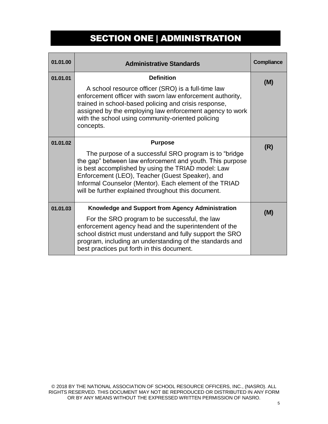### SECTION ONE | ADMINISTRATION

| 01.01.00 | <b>Administrative Standards</b>                                                                                                                                                                                                                                                                                                                                | Compliance |
|----------|----------------------------------------------------------------------------------------------------------------------------------------------------------------------------------------------------------------------------------------------------------------------------------------------------------------------------------------------------------------|------------|
| 01.01.01 | <b>Definition</b><br>A school resource officer (SRO) is a full-time law<br>enforcement officer with sworn law enforcement authority,<br>trained in school-based policing and crisis response,<br>assigned by the employing law enforcement agency to work<br>with the school using community-oriented policing<br>concepts.                                    | (M)        |
| 01.01.02 | <b>Purpose</b><br>The purpose of a successful SRO program is to "bridge"<br>the gap" between law enforcement and youth. This purpose<br>is best accomplished by using the TRIAD model: Law<br>Enforcement (LEO), Teacher (Guest Speaker), and<br>Informal Counselor (Mentor). Each element of the TRIAD<br>will be further explained throughout this document. | (R)        |
| 01.01.03 | Knowledge and Support from Agency Administration<br>For the SRO program to be successful, the law<br>enforcement agency head and the superintendent of the<br>school district must understand and fully support the SRO<br>program, including an understanding of the standards and<br>best practices put forth in this document.                              | (M)        |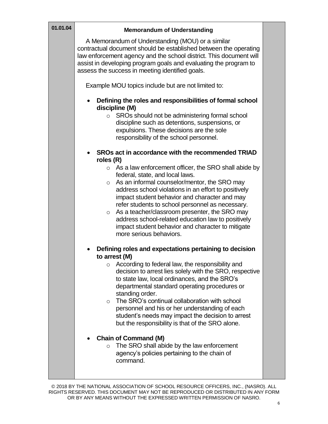| 01.01.04 | <b>Memorandum of Understanding</b>                                                                                                                                                                                                                                                                                                                                                                                                                                                                                                            |  |
|----------|-----------------------------------------------------------------------------------------------------------------------------------------------------------------------------------------------------------------------------------------------------------------------------------------------------------------------------------------------------------------------------------------------------------------------------------------------------------------------------------------------------------------------------------------------|--|
|          | A Memorandum of Understanding (MOU) or a similar<br>contractual document should be established between the operating<br>law enforcement agency and the school district. This document will<br>assist in developing program goals and evaluating the program to<br>assess the success in meeting identified goals.                                                                                                                                                                                                                             |  |
|          | Example MOU topics include but are not limited to:                                                                                                                                                                                                                                                                                                                                                                                                                                                                                            |  |
|          | Defining the roles and responsibilities of formal school<br>discipline (M)<br>SROs should not be administering formal school<br>$\circ$<br>discipline such as detentions, suspensions, or<br>expulsions. These decisions are the sole<br>responsibility of the school personnel.                                                                                                                                                                                                                                                              |  |
|          | SROs act in accordance with the recommended TRIAD                                                                                                                                                                                                                                                                                                                                                                                                                                                                                             |  |
|          | roles $(R)$<br>$\circ$ As a law enforcement officer, the SRO shall abide by<br>federal, state, and local laws.<br>As an informal counselor/mentor, the SRO may<br>$\circ$<br>address school violations in an effort to positively<br>impact student behavior and character and may<br>refer students to school personnel as necessary.<br>As a teacher/classroom presenter, the SRO may<br>$\circ$<br>address school-related education law to positively<br>impact student behavior and character to mitigate<br>more serious behaviors.      |  |
|          | Defining roles and expectations pertaining to decision<br>to arrest (M)<br>According to federal law, the responsibility and<br>$\circ$<br>decision to arrest lies solely with the SRO, respective<br>to state law, local ordinances, and the SRO's<br>departmental standard operating procedures or<br>standing order.<br>The SRO's continual collaboration with school<br>$\circ$<br>personnel and his or her understanding of each<br>student's needs may impact the decision to arrest<br>but the responsibility is that of the SRO alone. |  |
|          | <b>Chain of Command (M)</b><br>$\bullet$<br>The SRO shall abide by the law enforcement<br>$\circ$<br>agency's policies pertaining to the chain of<br>command.                                                                                                                                                                                                                                                                                                                                                                                 |  |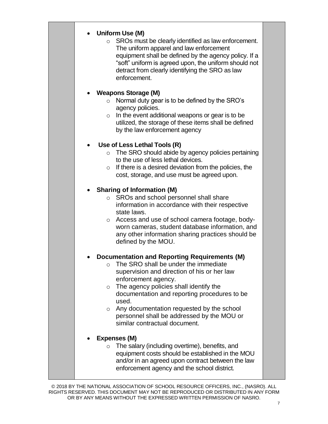### **Uniform Use (M)**

o SROs must be clearly identified as law enforcement. The uniform apparel and law enforcement equipment shall be defined by the agency policy. If a "soft" uniform is agreed upon, the uniform should not detract from clearly identifying the SRO as law enforcement.

### **Weapons Storage (M)**

- o Normal duty gear is to be defined by the SRO's agency policies.
- $\circ$  In the event additional weapons or gear is to be utilized, the storage of these items shall be defined by the law enforcement agency

### **Use of Less Lethal Tools (R)**

- o The SRO should abide by agency policies pertaining to the use of less lethal devices.
- $\circ$  If there is a desired deviation from the policies, the cost, storage, and use must be agreed upon.

### **Sharing of Information (M)**

- o SROs and school personnel shall share information in accordance with their respective state laws.
- o Access and use of school camera footage, bodyworn cameras, student database information, and any other information sharing practices should be defined by the MOU.

### **Documentation and Reporting Requirements (M)**

- o The SRO shall be under the immediate supervision and direction of his or her law enforcement agency.
- $\circ$  The agency policies shall identify the documentation and reporting procedures to be used.
- o Any documentation requested by the school personnel shall be addressed by the MOU or similar contractual document.

### **Expenses (M)**

o The salary (including overtime), benefits, and equipment costs should be established in the MOU and/or in an agreed upon contract between the law enforcement agency and the school district.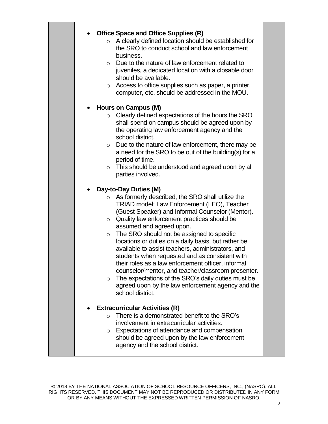### **Office Space and Office Supplies (R)**

- o A clearly defined location should be established for the SRO to conduct school and law enforcement business.
- o Due to the nature of law enforcement related to juveniles, a dedicated location with a closable door should be available.
- o Access to office supplies such as paper, a printer, computer, etc. should be addressed in the MOU.

### **Hours on Campus (M)**

- o Clearly defined expectations of the hours the SRO shall spend on campus should be agreed upon by the operating law enforcement agency and the school district.
- o Due to the nature of law enforcement, there may be a need for the SRO to be out of the building(s) for a period of time.
- o This should be understood and agreed upon by all parties involved.

### **Day-to-Day Duties (M)**

- o As formerly described, the SRO shall utilize the TRIAD model: Law Enforcement (LEO), Teacher (Guest Speaker) and Informal Counselor (Mentor).
- o Quality law enforcement practices should be assumed and agreed upon.
- o The SRO should not be assigned to specific locations or duties on a daily basis, but rather be available to assist teachers, administrators, and students when requested and as consistent with their roles as a law enforcement officer, informal counselor/mentor, and teacher/classroom presenter.
- o The expectations of the SRO's daily duties must be agreed upon by the law enforcement agency and the school district.

### **Extracurricular Activities (R)**

- o There is a demonstrated benefit to the SRO's involvement in extracurricular activities.
- o Expectations of attendance and compensation should be agreed upon by the law enforcement agency and the school district.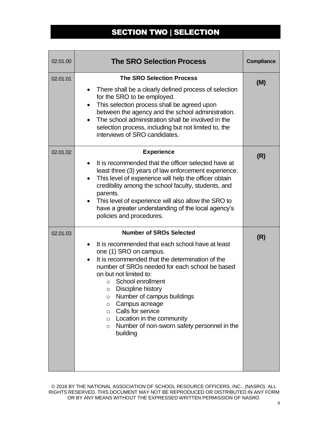### SECTION TWO | SELECTION

| 02.01.00 | <b>The SRO Selection Process</b>                                                                                                                                                                                                                                                                                                                                                                                                                                                                                                         | Compliance |
|----------|------------------------------------------------------------------------------------------------------------------------------------------------------------------------------------------------------------------------------------------------------------------------------------------------------------------------------------------------------------------------------------------------------------------------------------------------------------------------------------------------------------------------------------------|------------|
| 02.01.01 | <b>The SRO Selection Process</b><br>There shall be a clearly defined process of selection<br>$\bullet$<br>for the SRO to be employed.<br>This selection process shall be agreed upon<br>$\bullet$<br>between the agency and the school administration.<br>The school administration shall be involved in the<br>selection process, including but not limited to, the<br>interviews of SRO candidates.                                                                                                                                    | (M)        |
| 02.01.02 | <b>Experience</b><br>It is recommended that the officer selected have at<br>$\bullet$<br>least three (3) years of law enforcement experience.<br>This level of experience will help the officer obtain<br>$\bullet$<br>credibility among the school faculty, students, and<br>parents.<br>This level of experience will also allow the SRO to<br>$\bullet$<br>have a greater understanding of the local agency's<br>policies and procedures.                                                                                             | (R)        |
| 02.01.03 | <b>Number of SROs Selected</b><br>It is recommended that each school have at least<br>$\bullet$<br>one (1) SRO on campus.<br>It is recommended that the determination of the<br>$\bullet$<br>number of SROs needed for each school be based<br>on but not limited to:<br>School enrollment<br>$\circ$<br>Discipline history<br>O<br>Number of campus buildings<br>O<br>Campus acreage<br>O<br>Calls for service<br>$\circ$<br>Location in the community<br>$\circ$<br>Number of non-sworn safety personnel in the<br>$\circ$<br>building | (R)        |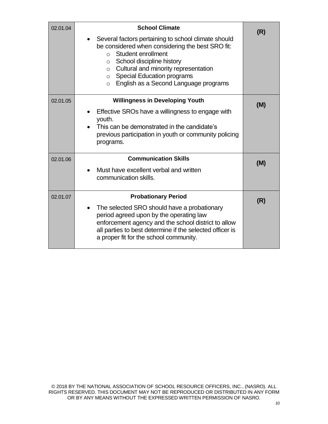| 02.01.04 | <b>School Climate</b>                                                                                                                                                                                                                                                                                                                | (R) |
|----------|--------------------------------------------------------------------------------------------------------------------------------------------------------------------------------------------------------------------------------------------------------------------------------------------------------------------------------------|-----|
|          | Several factors pertaining to school climate should<br>be considered when considering the best SRO fit:<br>Student enrollment<br>$\cap$<br>School discipline history<br>$\circ$<br>$\circ$ Cultural and minority representation<br><b>Special Education programs</b><br>$\circ$<br>English as a Second Language programs<br>$\Omega$ |     |
| 02.01.05 | <b>Willingness in Developing Youth</b>                                                                                                                                                                                                                                                                                               | (M) |
|          | Effective SROs have a willingness to engage with<br>youth.                                                                                                                                                                                                                                                                           |     |
|          | This can be demonstrated in the candidate's                                                                                                                                                                                                                                                                                          |     |
|          | previous participation in youth or community policing<br>programs.                                                                                                                                                                                                                                                                   |     |
| 02.01.06 | <b>Communication Skills</b>                                                                                                                                                                                                                                                                                                          | (M) |
|          | Must have excellent verbal and written<br>communication skills.                                                                                                                                                                                                                                                                      |     |
| 02.01.07 | <b>Probationary Period</b>                                                                                                                                                                                                                                                                                                           | (R) |
|          | The selected SRO should have a probationary<br>$\bullet$<br>period agreed upon by the operating law<br>enforcement agency and the school district to allow<br>all parties to best determine if the selected officer is<br>a proper fit for the school community.                                                                     |     |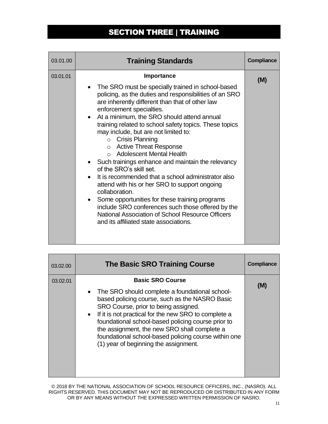### SECTION THREE | TRAINING

| 03.01.00 | <b>Training Standards</b>                                                                                                                                                                                                                                                                                                                                                                                                                                                                                                                                                                                                                                                                                                                                                                                                                       | <b>Compliance</b> |
|----------|-------------------------------------------------------------------------------------------------------------------------------------------------------------------------------------------------------------------------------------------------------------------------------------------------------------------------------------------------------------------------------------------------------------------------------------------------------------------------------------------------------------------------------------------------------------------------------------------------------------------------------------------------------------------------------------------------------------------------------------------------------------------------------------------------------------------------------------------------|-------------------|
| 03.01.01 | <b>Importance</b>                                                                                                                                                                                                                                                                                                                                                                                                                                                                                                                                                                                                                                                                                                                                                                                                                               | (M)               |
|          | The SRO must be specially trained in school-based<br>policing, as the duties and responsibilities of an SRO<br>are inherently different than that of other law<br>enforcement specialties.<br>At a minimum, the SRO should attend annual<br>training related to school safety topics. These topics<br>may include, but are not limited to:<br>$\circ$ Crisis Planning<br>○ Active Threat Response<br>○ Adolescent Mental Health<br>• Such trainings enhance and maintain the relevancy<br>of the SRO's skill set.<br>It is recommended that a school administrator also<br>attend with his or her SRO to support ongoing<br>collaboration.<br>Some opportunities for these training programs<br>include SRO conferences such those offered by the<br>National Association of School Resource Officers<br>and its affiliated state associations. |                   |

| 03.02.00 | <b>The Basic SRO Training Course</b>                                                                                                                                                                                                                                                                                                                                                                                                   | Compliance |
|----------|----------------------------------------------------------------------------------------------------------------------------------------------------------------------------------------------------------------------------------------------------------------------------------------------------------------------------------------------------------------------------------------------------------------------------------------|------------|
| 03.02.01 | <b>Basic SRO Course</b><br>• The SRO should complete a foundational school-<br>based policing course, such as the NASRO Basic<br>SRO Course, prior to being assigned.<br>• If it is not practical for the new SRO to complete a<br>foundational school-based policing course prior to<br>the assignment, the new SRO shall complete a<br>foundational school-based policing course within one<br>(1) year of beginning the assignment. | (M)        |
|          |                                                                                                                                                                                                                                                                                                                                                                                                                                        |            |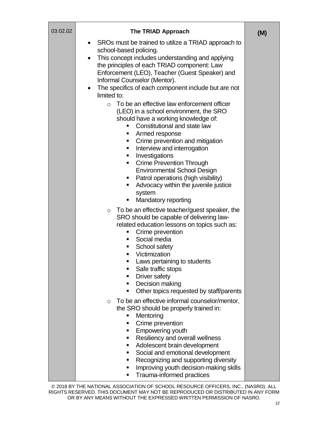| 03.02.02 | The TRIAD Approach                                                                                                                                                                                                                                                                                                                                                                                                                                                                      | (M) |
|----------|-----------------------------------------------------------------------------------------------------------------------------------------------------------------------------------------------------------------------------------------------------------------------------------------------------------------------------------------------------------------------------------------------------------------------------------------------------------------------------------------|-----|
|          | SROs must be trained to utilize a TRIAD approach to<br>$\bullet$<br>school-based policing.<br>This concept includes understanding and applying<br>$\bullet$                                                                                                                                                                                                                                                                                                                             |     |
|          | the principles of each TRIAD component: Law<br>Enforcement (LEO), Teacher (Guest Speaker) and<br>Informal Counselor (Mentor).                                                                                                                                                                                                                                                                                                                                                           |     |
|          | The specifics of each component include but are not<br>limited to:                                                                                                                                                                                                                                                                                                                                                                                                                      |     |
|          | To be an effective law enforcement officer<br>$\circ$<br>(LEO) in a school environment, the SRO<br>should have a working knowledge of:<br>Constitutional and state law<br>$\blacksquare$<br>Armed response<br>п<br>Crime prevention and mitigation<br>Interview and interrogation<br>$\blacksquare$<br>Investigations<br><b>Crime Prevention Through</b><br><b>Environmental School Design</b><br>Patrol operations (high visibility)<br>ш<br>Advocacy within the juvenile justice<br>ш |     |
|          | system<br>Mandatory reporting<br>п                                                                                                                                                                                                                                                                                                                                                                                                                                                      |     |
|          | To be an effective teacher/guest speaker, the<br>$\circ$<br>SRO should be capable of delivering law-<br>related education lessons on topics such as:<br>Crime prevention<br>п<br>Social media<br>School safety<br>Victimization<br>٠<br>Laws pertaining to students<br>٠<br>Safe traffic stops<br>п<br>Driver safety<br>п<br>Decision making<br>٠<br>Other topics requested by staff/parents<br>п                                                                                       |     |
|          | To be an effective informal counselor/mentor,<br>$\circ$<br>the SRO should be properly trained in:<br>Mentoring<br>п<br>Crime prevention<br>п<br><b>Empowering youth</b><br>٠<br>Resiliency and overall wellness<br>٠<br>Adolescent brain development<br>п<br>Social and emotional development<br>٠<br>Recognizing and supporting diversity<br>٠<br>Improving youth decision-making skills<br>٠<br>Trauma-informed practices<br>$\blacksquare$                                          |     |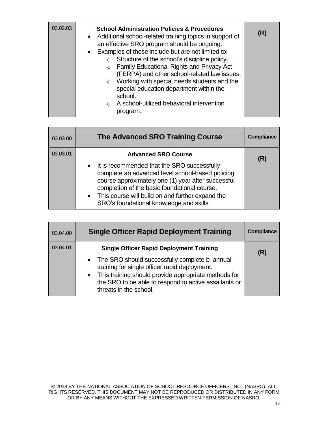| 03.02.03 | <b>School Administration Policies &amp; Procedures</b><br>• Additional school-related training topics in support of<br>an effective SRO program should be ongoing.<br>• Examples of these include but are not limited to:<br>Structure of the school's discipline policy.<br>$\circ$<br><b>Family Educational Rights and Privacy Act</b><br>$\circ$<br>(FERPA) and other school-related law issues.<br>$\circ$ Working with special needs students and the<br>special education department within the<br>school.<br>$\circ$ A school-utilized behavioral intervention | (R) |
|----------|-----------------------------------------------------------------------------------------------------------------------------------------------------------------------------------------------------------------------------------------------------------------------------------------------------------------------------------------------------------------------------------------------------------------------------------------------------------------------------------------------------------------------------------------------------------------------|-----|
|          | program.                                                                                                                                                                                                                                                                                                                                                                                                                                                                                                                                                              |     |

| 03.03.00 | <b>The Advanced SRO Training Course</b>                                                                                                                                                                                                                                                                   | Compliance |
|----------|-----------------------------------------------------------------------------------------------------------------------------------------------------------------------------------------------------------------------------------------------------------------------------------------------------------|------------|
| 03.03.01 | <b>Advanced SRO Course</b>                                                                                                                                                                                                                                                                                | (R)        |
|          | • It is recommended that the SRO successfully<br>complete an advanced level school-based policing<br>course approximately one (1) year after successful<br>completion of the basic foundational course.<br>• This course will build on and further expand the<br>SRO's foundational knowledge and skills. |            |

| 03.04.00 | <b>Single Officer Rapid Deployment Training</b>                                                                                                                                                                                                                                                   | <b>Compliance</b> |
|----------|---------------------------------------------------------------------------------------------------------------------------------------------------------------------------------------------------------------------------------------------------------------------------------------------------|-------------------|
| 03.04.01 | <b>Single Officer Rapid Deployment Training</b><br>• The SRO should successfully complete bi-annual<br>training for single officer rapid deployment.<br>• This training should provide appropriate methods for<br>the SRO to be able to respond to active assailants or<br>threats in the school. | (R)               |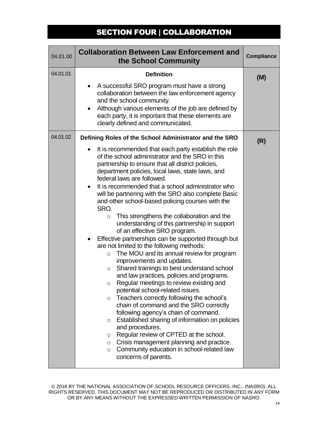### SECTION FOUR | COLLABORATION

| 04.01.01               | <b>Definition</b>                                                                                                                                                                                                                                                                                                                                                                                                                                                                                                                                                                                                                                                                                                                                                                                                                                                                                                                                                                                                                                                                                                                                                                                                                                                                                                                                                                              | (M) |
|------------------------|------------------------------------------------------------------------------------------------------------------------------------------------------------------------------------------------------------------------------------------------------------------------------------------------------------------------------------------------------------------------------------------------------------------------------------------------------------------------------------------------------------------------------------------------------------------------------------------------------------------------------------------------------------------------------------------------------------------------------------------------------------------------------------------------------------------------------------------------------------------------------------------------------------------------------------------------------------------------------------------------------------------------------------------------------------------------------------------------------------------------------------------------------------------------------------------------------------------------------------------------------------------------------------------------------------------------------------------------------------------------------------------------|-----|
| $\bullet$<br>$\bullet$ | A successful SRO program must have a strong<br>collaboration between the law enforcement agency<br>and the school community.<br>Although various elements of the job are defined by<br>each party, it is important that these elements are<br>clearly defined and communicated.                                                                                                                                                                                                                                                                                                                                                                                                                                                                                                                                                                                                                                                                                                                                                                                                                                                                                                                                                                                                                                                                                                                |     |
| 04.01.02               | Defining Roles of the School Administrator and the SRO<br>It is recommended that each party establish the role<br>of the school administrator and the SRO in this<br>partnership to ensure that all district policies,<br>department policies, local laws, state laws, and<br>federal laws are followed.<br>It is recommended that a school administrator who<br>will be partnering with the SRO also complete Basic<br>and other school-based policing courses with the<br>SRO.<br>This strengthens the collaboration and the<br>O<br>understanding of this partnership in support<br>of an effective SRO program.<br>Effective partnerships can be supported through but<br>are not limited to the following methods:<br>The MOU and its annual review for program<br>$\circ$<br>improvements and updates.<br>Shared trainings to best understand school<br>O<br>and law practices, policies and programs.<br>Regular meetings to review existing and<br>O<br>potential school-related issues.<br>Teachers correctly following the school's<br>O<br>chain of command and the SRO correctly<br>following agency's chain of command.<br>Established sharing of information on policies<br>O<br>and procedures.<br>Regular review of CPTED at the school.<br>O<br>Crisis management planning and practice.<br>$\circ$<br>Community education in school-related law<br>O<br>concerns of parents. | (R) |